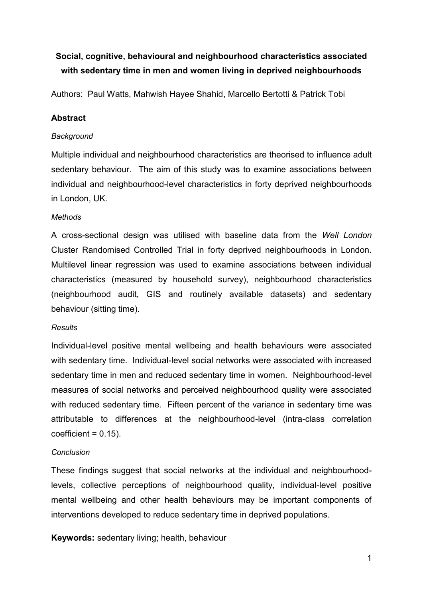## **Social, cognitive, behavioural and neighbourhood characteristics associated with sedentary time in men and women living in deprived neighbourhoods**

Authors: Paul Watts, [Mahwish Hayee Shahid,](http://www.tandfonline.com/author/Hayee+Shahid%2C+Mahwish) [Marcello Bertotti](http://www.tandfonline.com/author/Bertotti%2C+Marcello) & [Patrick Tobi](http://www.tandfonline.com/author/Tobi%2C+Patrick)

#### **Abstract**

#### *Background*

Multiple individual and neighbourhood characteristics are theorised to influence adult sedentary behaviour. The aim of this study was to examine associations between individual and neighbourhood-level characteristics in forty deprived neighbourhoods in London, UK.

#### *Methods*

A cross-sectional design was utilised with baseline data from the *Well London* Cluster Randomised Controlled Trial in forty deprived neighbourhoods in London. Multilevel linear regression was used to examine associations between individual characteristics (measured by household survey), neighbourhood characteristics (neighbourhood audit, GIS and routinely available datasets) and sedentary behaviour (sitting time).

#### *Results*

Individual-level positive mental wellbeing and health behaviours were associated with sedentary time. Individual-level social networks were associated with increased sedentary time in men and reduced sedentary time in women. Neighbourhood-level measures of social networks and perceived neighbourhood quality were associated with reduced sedentary time. Fifteen percent of the variance in sedentary time was attributable to differences at the neighbourhood-level (intra-class correlation  $coefficient = 0.15$ ).

#### *Conclusion*

These findings suggest that social networks at the individual and neighbourhoodlevels, collective perceptions of neighbourhood quality, individual-level positive mental wellbeing and other health behaviours may be important components of interventions developed to reduce sedentary time in deprived populations.

**Keywords:** sedentary living; health, behaviour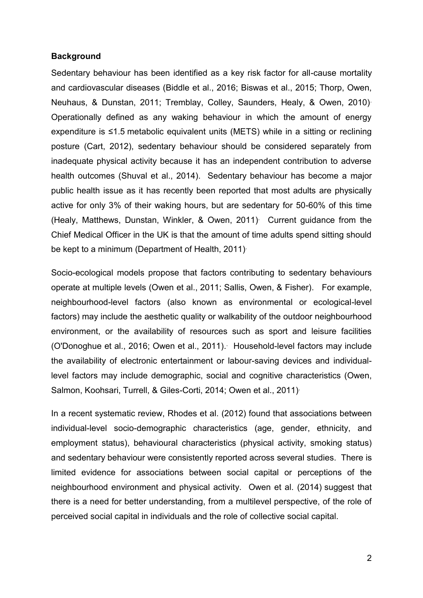#### **Background**

Sedentary behaviour has been identified as a key risk factor for all-cause mortality and cardiovascular diseases (Biddle et al., 2016; Biswas et al., 2015; Thorp, Owen, Neuhaus, & Dunstan, 2011; Tremblay, Colley, Saunders, Healy, & Owen, 2010). Operationally defined as any waking behaviour in which the amount of energy expenditure is ≤1.5 metabolic equivalent units (METS) while in a sitting or reclining posture (Cart, 2012), sedentary behaviour should be considered separately from inadequate physical activity because it has an independent contribution to adverse health outcomes (Shuval et al., 2014). Sedentary behaviour has become a major public health issue as it has recently been reported that most adults are physically active for only 3% of their waking hours, but are sedentary for 50-60% of this time (Healy, Matthews, Dunstan, Winkler, & Owen, 2011). Current guidance from the Chief Medical Officer in the UK is that the amount of time adults spend sitting should be kept to a minimum (Department of Health, 2011).

Socio-ecological models propose that factors contributing to sedentary behaviours operate at multiple levels (Owen et al., 2011; Sallis, Owen, & Fisher). For example, neighbourhood-level factors (also known as environmental or ecological-level factors) may include the aesthetic quality or walkability of the outdoor neighbourhood environment, or the availability of resources such as sport and leisure facilities (O'Donoghue et al., 2016; Owen et al., 2011). . Household-level factors may include the availability of electronic entertainment or labour-saving devices and individuallevel factors may include demographic, social and cognitive characteristics (Owen, Salmon, Koohsari, Turrell, & Giles-Corti, 2014; Owen et al., 2011).

In a recent systematic review, Rhodes et al. (2012) found that associations between individual-level socio-demographic characteristics (age, gender, ethnicity, and employment status), behavioural characteristics (physical activity, smoking status) and sedentary behaviour were consistently reported across several studies. There is limited evidence for associations between social capital or perceptions of the neighbourhood environment and physical activity. Owen et al. (2014) suggest that there is a need for better understanding, from a multilevel perspective, of the role of perceived social capital in individuals and the role of collective social capital.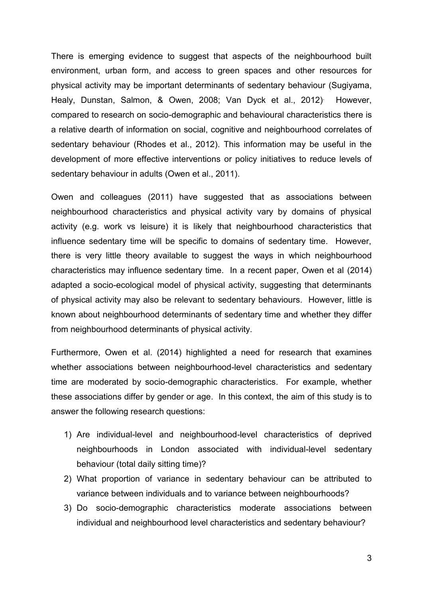There is emerging evidence to suggest that aspects of the neighbourhood built environment, urban form, and access to green spaces and other resources for physical activity may be important determinants of sedentary behaviour (Sugiyama, Healy, Dunstan, Salmon, & Owen, 2008; Van Dyck et al., 2012). However, compared to research on socio-demographic and behavioural characteristics there is a relative dearth of information on social, cognitive and neighbourhood correlates of sedentary behaviour (Rhodes et al., 2012). This information may be useful in the development of more effective interventions or policy initiatives to reduce levels of sedentary behaviour in adults (Owen et al., 2011).

Owen and colleagues (2011) have suggested that as associations between neighbourhood characteristics and physical activity vary by domains of physical activity (e.g. work vs leisure) it is likely that neighbourhood characteristics that influence sedentary time will be specific to domains of sedentary time. However, there is very little theory available to suggest the ways in which neighbourhood characteristics may influence sedentary time. In a recent paper, Owen et al (2014) adapted a socio-ecological model of physical activity, suggesting that determinants of physical activity may also be relevant to sedentary behaviours. However, little is known about neighbourhood determinants of sedentary time and whether they differ from neighbourhood determinants of physical activity.

Furthermore, Owen et al. (2014) highlighted a need for research that examines whether associations between neighbourhood-level characteristics and sedentary time are moderated by socio-demographic characteristics. For example, whether these associations differ by gender or age. In this context, the aim of this study is to answer the following research questions:

- 1) Are individual-level and neighbourhood-level characteristics of deprived neighbourhoods in London associated with individual-level sedentary behaviour (total daily sitting time)?
- 2) What proportion of variance in sedentary behaviour can be attributed to variance between individuals and to variance between neighbourhoods?
- 3) Do socio-demographic characteristics moderate associations between individual and neighbourhood level characteristics and sedentary behaviour?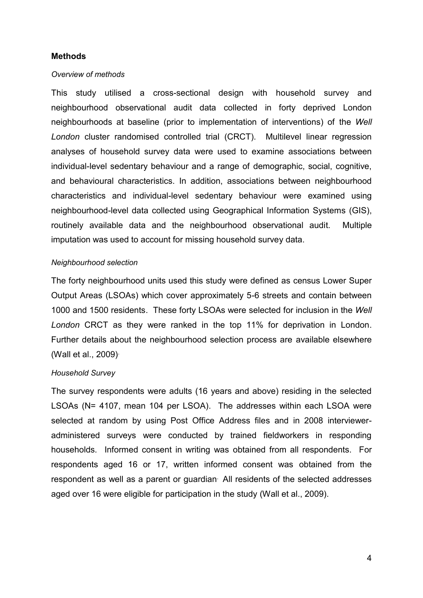#### **Methods**

#### *Overview of methods*

This study utilised a cross-sectional design with household survey and neighbourhood observational audit data collected in forty deprived London neighbourhoods at baseline (prior to implementation of interventions) of the *Well London* cluster randomised controlled trial (CRCT). Multilevel linear regression analyses of household survey data were used to examine associations between individual-level sedentary behaviour and a range of demographic, social, cognitive, and behavioural characteristics. In addition, associations between neighbourhood characteristics and individual-level sedentary behaviour were examined using neighbourhood-level data collected using Geographical Information Systems (GIS), routinely available data and the neighbourhood observational audit. Multiple imputation was used to account for missing household survey data.

#### *Neighbourhood selection*

The forty neighbourhood units used this study were defined as census Lower Super Output Areas (LSOAs) which cover approximately 5-6 streets and contain between 1000 and 1500 residents. These forty LSOAs were selected for inclusion in the *Well London* CRCT as they were ranked in the top 11% for deprivation in London. Further details about the neighbourhood selection process are available elsewhere (Wall et al., 2009).

#### *Household Survey*

The survey respondents were adults (16 years and above) residing in the selected LSOAs (N= 4107, mean 104 per LSOA). The addresses within each LSOA were selected at random by using Post Office Address files and in 2008 intervieweradministered surveys were conducted by trained fieldworkers in responding households. Informed consent in writing was obtained from all respondents. For respondents aged 16 or 17, written informed consent was obtained from the respondent as well as a parent or guardian. All residents of the selected addresses aged over 16 were eligible for participation in the study (Wall et al., 2009).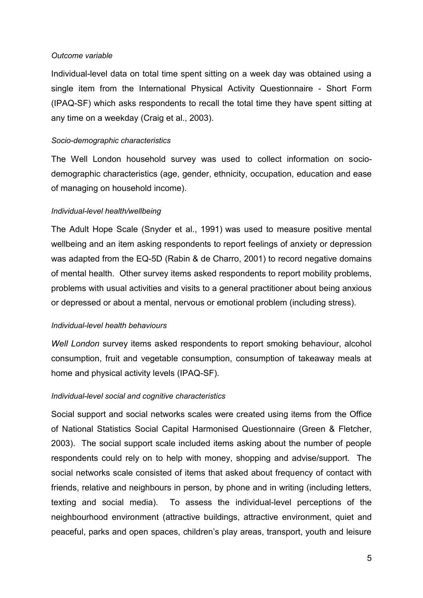#### *Outcome variable*

Individual-level data on total time spent sitting on a week day was obtained using a single item from the International Physical Activity Questionnaire - Short Form (IPAQ-SF) which asks respondents to recall the total time they have spent sitting at any time on a weekday (Craig et al., 2003).

#### *Socio-demographic characteristics*

The Well London household survey was used to collect information on sociodemographic characteristics (age, gender, ethnicity, occupation, education and ease of managing on household income).

#### *Individual-level health/wellbeing*

The Adult Hope Scale (Snyder et al., 1991) was used to measure positive mental wellbeing and an item asking respondents to report feelings of anxiety or depression was adapted from the EQ-5D (Rabin & de Charro, 2001) to record negative domains of mental health. Other survey items asked respondents to report mobility problems, problems with usual activities and visits to a general practitioner about being anxious or depressed or about a mental, nervous or emotional problem (including stress).

#### *Individual-level health behaviours*

*Well London* survey items asked respondents to report smoking behaviour, alcohol consumption, fruit and vegetable consumption, consumption of takeaway meals at home and physical activity levels (IPAQ-SF).

#### *Individual-level social and cognitive characteristics*

Social support and social networks scales were created using items from the Office of National Statistics Social Capital Harmonised Questionnaire (Green & Fletcher, 2003). The social support scale included items asking about the number of people respondents could rely on to help with money, shopping and advise/support. The social networks scale consisted of items that asked about frequency of contact with friends, relative and neighbours in person, by phone and in writing (including letters, texting and social media). To assess the individual-level perceptions of the neighbourhood environment (attractive buildings, attractive environment, quiet and peaceful, parks and open spaces, children's play areas, transport, youth and leisure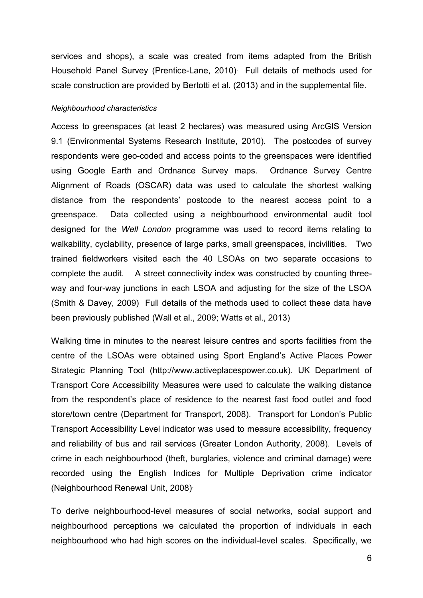services and shops), a scale was created from items adapted from the British Household Panel Survey (Prentice-Lane, 2010). Full details of methods used for scale construction are provided by Bertotti et al. (2013) and in the supplemental file.

#### *Neighbourhood characteristics*

Access to greenspaces (at least 2 hectares) was measured using ArcGIS Version 9.1 (Environmental Systems Research Institute, 2010). The postcodes of survey respondents were geo-coded and access points to the greenspaces were identified using Google Earth and Ordnance Survey maps. Ordnance Survey Centre Alignment of Roads (OSCAR) data was used to calculate the shortest walking distance from the respondents' postcode to the nearest access point to a greenspace. Data collected using a neighbourhood environmental audit tool designed for the *Well London* programme was used to record items relating to walkability, cyclability, presence of large parks, small greenspaces, incivilities. Two trained fieldworkers visited each the 40 LSOAs on two separate occasions to complete the audit. A street connectivity index was constructed by counting threeway and four-way junctions in each LSOA and adjusting for the size of the LSOA (Smith & Davey, 2009) Full details of the methods used to collect these data have been previously published (Wall et al., 2009; Watts et al., 2013)

Walking time in minutes to the nearest leisure centres and sports facilities from the centre of the LSOAs were obtained using Sport England's Active Places Power Strategic Planning Tool (http://www.activeplacespower.co.uk). UK Department of Transport Core Accessibility Measures were used to calculate the walking distance from the respondent's place of residence to the nearest fast food outlet and food store/town centre (Department for Transport, 2008). Transport for London's Public Transport Accessibility Level indicator was used to measure accessibility, frequency and reliability of bus and rail services (Greater London Authority, 2008). Levels of crime in each neighbourhood (theft, burglaries, violence and criminal damage) were recorded using the English Indices for Multiple Deprivation crime indicator (Neighbourhood Renewal Unit, 2008).

To derive neighbourhood-level measures of social networks, social support and neighbourhood perceptions we calculated the proportion of individuals in each neighbourhood who had high scores on the individual-level scales. Specifically, we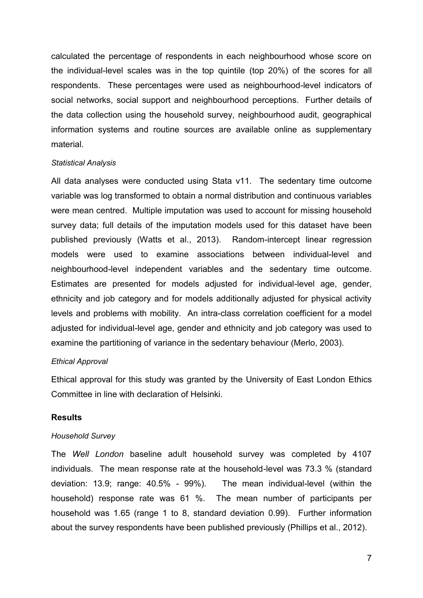calculated the percentage of respondents in each neighbourhood whose score on the individual-level scales was in the top quintile (top 20%) of the scores for all respondents. These percentages were used as neighbourhood-level indicators of social networks, social support and neighbourhood perceptions. Further details of the data collection using the household survey, neighbourhood audit, geographical information systems and routine sources are available online as supplementary material.

#### *Statistical Analysis*

All data analyses were conducted using Stata v11. The sedentary time outcome variable was log transformed to obtain a normal distribution and continuous variables were mean centred. Multiple imputation was used to account for missing household survey data; full details of the imputation models used for this dataset have been published previously (Watts et al., 2013). Random-intercept linear regression models were used to examine associations between individual-level and neighbourhood-level independent variables and the sedentary time outcome. Estimates are presented for models adjusted for individual-level age, gender, ethnicity and job category and for models additionally adjusted for physical activity levels and problems with mobility. An intra-class correlation coefficient for a model adjusted for individual-level age, gender and ethnicity and job category was used to examine the partitioning of variance in the sedentary behaviour (Merlo, 2003).

#### *Ethical Approval*

Ethical approval for this study was granted by the University of East London Ethics Committee in line with declaration of Helsinki.

#### **Results**

#### *Household Survey*

The *Well London* baseline adult household survey was completed by 4107 individuals. The mean response rate at the household-level was 73.3 % (standard deviation: 13.9; range: 40.5% - 99%). The mean individual-level (within the household) response rate was 61 %. The mean number of participants per household was 1.65 (range 1 to 8, standard deviation 0.99). Further information about the survey respondents have been published previously (Phillips et al., 2012).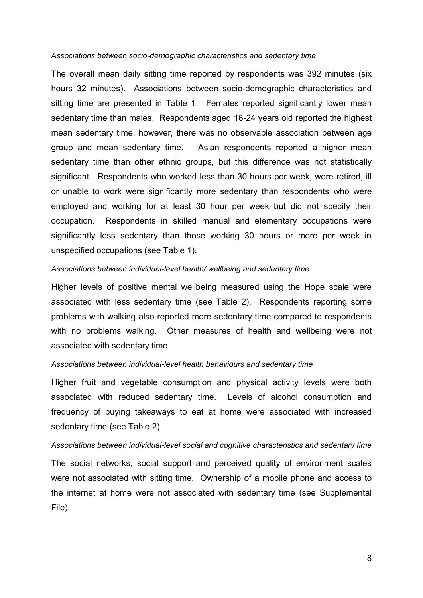#### *Associations between socio-demographic characteristics and sedentary time*

The overall mean daily sitting time reported by respondents was 392 minutes (six hours 32 minutes). Associations between socio-demographic characteristics and sitting time are presented in Table 1. Females reported significantly lower mean sedentary time than males. Respondents aged 16-24 years old reported the highest mean sedentary time, however, there was no observable association between age group and mean sedentary time. Asian respondents reported a higher mean sedentary time than other ethnic groups, but this difference was not statistically significant. Respondents who worked less than 30 hours per week, were retired, ill or unable to work were significantly more sedentary than respondents who were employed and working for at least 30 hour per week but did not specify their occupation. Respondents in skilled manual and elementary occupations were significantly less sedentary than those working 30 hours or more per week in unspecified occupations (see Table 1).

#### *Associations between individual-level health/ wellbeing and sedentary time*

Higher levels of positive mental wellbeing measured using the Hope scale were associated with less sedentary time (see Table 2). Respondents reporting some problems with walking also reported more sedentary time compared to respondents with no problems walking. Other measures of health and wellbeing were not associated with sedentary time.

#### *Associations between individual-level health behaviours and sedentary time*

Higher fruit and vegetable consumption and physical activity levels were both associated with reduced sedentary time. Levels of alcohol consumption and frequency of buying takeaways to eat at home were associated with increased sedentary time (see Table 2).

#### *Associations between individual-level social and cognitive characteristics and sedentary time*

The social networks, social support and perceived quality of environment scales were not associated with sitting time. Ownership of a mobile phone and access to the internet at home were not associated with sedentary time (see Supplemental File).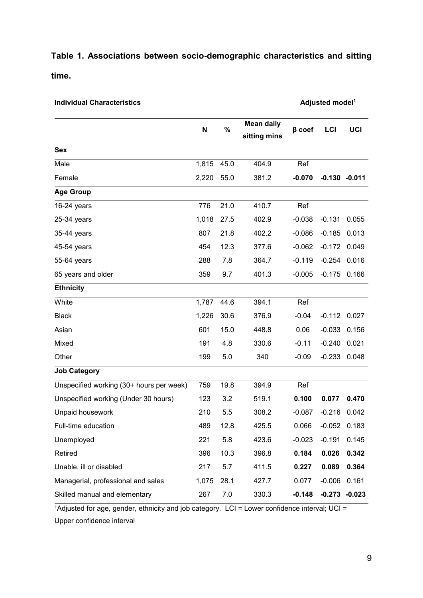## **Table 1. Associations between socio-demographic characteristics and sitting time.**

**Individual Characteristics Adjusted model**<sup>1</sup>

|                                          |           |      | <b>Mean daily</b> |              |                  |       |
|------------------------------------------|-----------|------|-------------------|--------------|------------------|-------|
|                                          | $\%$<br>N |      | sitting mins      | $\beta$ coef | <b>LCI</b>       | UCI   |
| <b>Sex</b>                               |           |      |                   |              |                  |       |
| Male                                     | 1,815     | 45.0 | 404.9             | Ref          |                  |       |
| Female                                   | 2,220     | 55.0 | 381.2             | $-0.070$     | $-0.130 -0.011$  |       |
| <b>Age Group</b>                         |           |      |                   |              |                  |       |
| $16-24$ years                            | 776       | 21.0 | 410.7             | Ref          |                  |       |
| $25-34$ years                            | 1,018     | 27.5 | 402.9             | $-0.038$     | $-0.131$         | 0.055 |
| 35-44 years                              | 807       | 21.8 | 402.2             | $-0.086$     | $-0.185$         | 0.013 |
| 45-54 years                              | 454       | 12.3 | 377.6             | $-0.062$     | $-0.172$         | 0.049 |
| 55-64 years                              | 288       | 7.8  | 364.7             | $-0.119$     | $-0.254$         | 0.016 |
| 65 years and older                       | 359       | 9.7  | 401.3             | $-0.005$     | $-0.175$         | 0.166 |
| <b>Ethnicity</b>                         |           |      |                   |              |                  |       |
| White                                    | 1,787     | 44.6 | 394.1             | Ref          |                  |       |
| <b>Black</b>                             | 1,226     | 30.6 | 376.9             | $-0.04$      | $-0.112$ $0.027$ |       |
| Asian                                    | 601       | 15.0 | 448.8             | 0.06         | $-0.033$         | 0.156 |
| Mixed                                    | 191       | 4.8  | 330.6             | $-0.11$      | $-0.240$         | 0.021 |
| Other                                    | 199       | 5.0  | 340               | $-0.09$      | $-0.233$         | 0.048 |
| <b>Job Category</b>                      |           |      |                   |              |                  |       |
| Unspecified working (30+ hours per week) | 759       | 19.8 | 394.9             | Ref          |                  |       |
| Unspecified working (Under 30 hours)     | 123       | 3.2  | 519.1             | 0.100        | 0.077            | 0.470 |
| Unpaid housework                         | 210       | 5.5  | 308.2             | $-0.087$     | $-0.216$         | 0.042 |
| Full-time education                      | 489       | 12.8 | 425.5             | 0.066        | $-0.052$         | 0.183 |
| Unemployed                               | 221       | 5.8  | 423.6             | $-0.023$     | $-0.191$         | 0.145 |
| Retired                                  | 396       | 10.3 | 396.8             | 0.184        | 0.026            | 0.342 |
| Unable, ill or disabled                  | 217       | 5.7  | 411.5             | 0.227        | 0.089            | 0.364 |
| Managerial, professional and sales       | 1,075     | 28.1 | 427.7             | 0.077        | $-0.006$         | 0.161 |
| Skilled manual and elementary            | 267       | 7.0  | 330.3             | $-0.148$     | $-0.273 -0.023$  |       |

1Adjusted for age, gender, ethnicity and job category. LCI = Lower confidence interval; UCI =

Upper confidence interval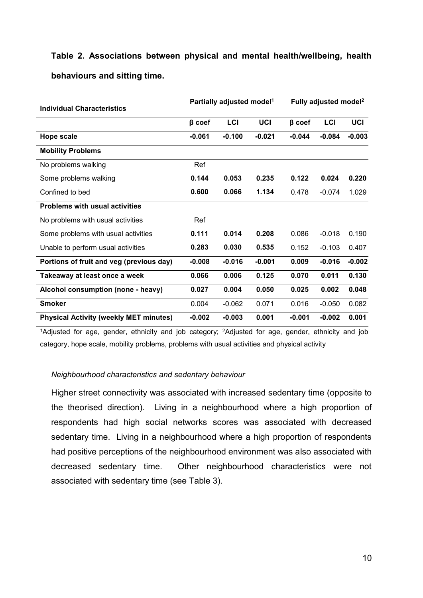# **Table 2. Associations between physical and mental health/wellbeing, health behaviours and sitting time.**

| <b>Individual Characteristics</b>             |              | Partially adjusted model <sup>1</sup> |          | Fully adjusted model <sup>2</sup> |          |          |  |
|-----------------------------------------------|--------------|---------------------------------------|----------|-----------------------------------|----------|----------|--|
|                                               | $\beta$ coef | LCI                                   | UCI      | $\beta$ coef                      | LCI      | UCI      |  |
| Hope scale                                    | $-0.061$     | $-0.100$                              | $-0.021$ | $-0.044$                          | $-0.084$ | $-0.003$ |  |
| <b>Mobility Problems</b>                      |              |                                       |          |                                   |          |          |  |
| No problems walking                           | Ref          |                                       |          |                                   |          |          |  |
| Some problems walking                         | 0.144        | 0.053                                 | 0.235    | 0.122                             | 0.024    | 0.220    |  |
| Confined to bed                               | 0.600        | 0.066                                 | 1.134    | 0.478                             | $-0.074$ | 1.029    |  |
| <b>Problems with usual activities</b>         |              |                                       |          |                                   |          |          |  |
| No problems with usual activities             | Ref          |                                       |          |                                   |          |          |  |
| Some problems with usual activities           | 0.111        | 0.014                                 | 0.208    | 0.086                             | $-0.018$ | 0.190    |  |
| Unable to perform usual activities            | 0.283        | 0.030                                 | 0.535    | 0.152                             | $-0.103$ | 0.407    |  |
| Portions of fruit and veg (previous day)      | $-0.008$     | $-0.016$                              | $-0.001$ | 0.009                             | $-0.016$ | $-0.002$ |  |
| Takeaway at least once a week                 | 0.066        | 0.006                                 | 0.125    | 0.070                             | 0.011    | 0.130    |  |
| Alcohol consumption (none - heavy)            | 0.027        | 0.004                                 | 0.050    | 0.025                             | 0.002    | 0.048    |  |
| <b>Smoker</b>                                 | 0.004        | $-0.062$                              | 0.071    | 0.016                             | $-0.050$ | 0.082    |  |
| <b>Physical Activity (weekly MET minutes)</b> | $-0.002$     | $-0.003$                              | 0.001    | $-0.001$                          | $-0.002$ | 0.001    |  |

<sup>1</sup>Adjusted for age, gender, ethnicity and job category; <sup>2</sup>Adjusted for age, gender, ethnicity and job category, hope scale, mobility problems, problems with usual activities and physical activity

#### *Neighbourhood characteristics and sedentary behaviour*

Higher street connectivity was associated with increased sedentary time (opposite to the theorised direction). Living in a neighbourhood where a high proportion of respondents had high social networks scores was associated with decreased sedentary time. Living in a neighbourhood where a high proportion of respondents had positive perceptions of the neighbourhood environment was also associated with decreased sedentary time. Other neighbourhood characteristics were not associated with sedentary time (see Table 3).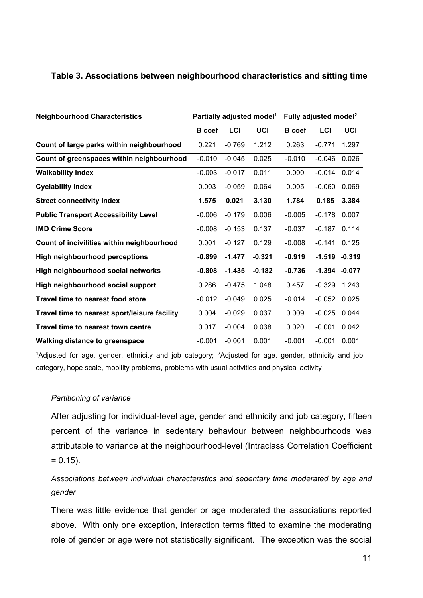#### **Table 3. Associations between neighbourhood characteristics and sitting time**

| <b>Neighbourhood Characteristics</b>          |               |          | Partially adjusted model <sup>1</sup> | Fully adjusted model <sup>2</sup> |                 |          |
|-----------------------------------------------|---------------|----------|---------------------------------------|-----------------------------------|-----------------|----------|
|                                               | <b>B</b> coef | LCI      | UCI                                   | <b>B</b> coef                     | LCI             | UCI      |
| Count of large parks within neighbourhood     | 0.221         | $-0.769$ | 1.212                                 | 0.263                             | $-0.771$        | 1.297    |
| Count of greenspaces within neighbourhood     | $-0.010$      | $-0.045$ | 0.025                                 | $-0.010$                          | $-0.046$        | 0.026    |
| <b>Walkability Index</b>                      | $-0.003$      | $-0.017$ | 0.011                                 | 0.000                             | $-0.014$        | 0.014    |
| <b>Cyclability Index</b>                      | 0.003         | $-0.059$ | 0.064                                 | 0.005                             | $-0.060$        | 0.069    |
| <b>Street connectivity index</b>              | 1.575         | 0.021    | 3.130                                 | 1.784                             | 0.185           | 3.384    |
| <b>Public Transport Accessibility Level</b>   | $-0.006$      | $-0.179$ | 0.006                                 | $-0.005$                          | $-0.178$        | 0.007    |
| <b>IMD Crime Score</b>                        | $-0.008$      | $-0.153$ | 0.137                                 | $-0.037$                          | $-0.187$        | 0.114    |
| Count of incivilities within neighbourhood    | 0.001         | $-0.127$ | 0.129                                 | $-0.008$                          | $-0.141$        | 0.125    |
| <b>High neighbourhood perceptions</b>         | $-0.899$      | $-1.477$ | $-0.321$                              | $-0.919$                          | $-1.519$        | $-0.319$ |
| High neighbourhood social networks            | $-0.808$      | $-1.435$ | $-0.182$                              | $-0.736$                          | $-1.394 -0.077$ |          |
| High neighbourhood social support             | 0.286         | $-0.475$ | 1.048                                 | 0.457                             | $-0.329$        | 1.243    |
| <b>Travel time to nearest food store</b>      | $-0.012$      | $-0.049$ | 0.025                                 | $-0.014$                          | $-0.052$        | 0.025    |
| Travel time to nearest sport/leisure facility | 0.004         | $-0.029$ | 0.037                                 | 0.009                             | $-0.025$        | 0.044    |
| Travel time to nearest town centre            | 0.017         | $-0.004$ | 0.038                                 | 0.020                             | $-0.001$        | 0.042    |
| <b>Walking distance to greenspace</b>         | $-0.001$      | $-0.001$ | 0.001                                 | $-0.001$                          | $-0.001$        | 0.001    |

<sup>1</sup>Adjusted for age, gender, ethnicity and job category; <sup>2</sup>Adjusted for age, gender, ethnicity and job category, hope scale, mobility problems, problems with usual activities and physical activity

#### *Partitioning of variance*

After adjusting for individual-level age, gender and ethnicity and job category, fifteen percent of the variance in sedentary behaviour between neighbourhoods was attributable to variance at the neighbourhood-level (Intraclass Correlation Coefficient  $= 0.15$ ).

### *Associations between individual characteristics and sedentary time moderated by age and gender*

There was little evidence that gender or age moderated the associations reported above. With only one exception, interaction terms fitted to examine the moderating role of gender or age were not statistically significant. The exception was the social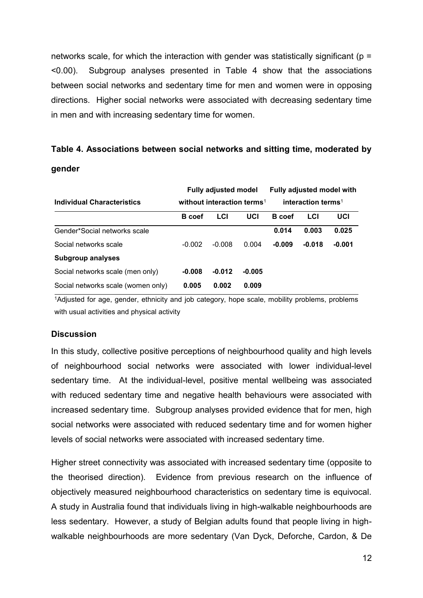networks scale, for which the interaction with gender was statistically significant ( $p =$ <0.00). Subgroup analyses presented in Table 4 show that the associations between social networks and sedentary time for men and women were in opposing directions. Higher social networks were associated with decreasing sedentary time in men and with increasing sedentary time for women.

# **Table 4. Associations between social networks and sitting time, moderated by**

#### **gender**

|                                    |                                                                          | <b>Fully adjusted model</b> |          | <b>Fully adjusted model with</b> |          |          |  |
|------------------------------------|--------------------------------------------------------------------------|-----------------------------|----------|----------------------------------|----------|----------|--|
| <b>Individual Characteristics</b>  | without interaction terms <sup>1</sup><br>interaction terms <sup>1</sup> |                             |          |                                  |          |          |  |
|                                    | <b>B</b> coef                                                            | LCI                         | UCI      | <b>B</b> coef                    | LCI      | UCI      |  |
| Gender*Social networks scale       |                                                                          |                             |          | 0.014                            | 0.003    | 0.025    |  |
| Social networks scale              | $-0.002$                                                                 | $-0.008$                    | 0.004    | $-0.009$                         | $-0.018$ | $-0.001$ |  |
| <b>Subgroup analyses</b>           |                                                                          |                             |          |                                  |          |          |  |
| Social networks scale (men only)   | $-0.008$                                                                 | $-0.012$                    | $-0.005$ |                                  |          |          |  |
| Social networks scale (women only) | 0.005                                                                    | 0.002                       | 0.009    |                                  |          |          |  |

<sup>1</sup>Adjusted for age, gender, ethnicity and job category, hope scale, mobility problems, problems with usual activities and physical activity

#### **Discussion**

In this study, collective positive perceptions of neighbourhood quality and high levels of neighbourhood social networks were associated with lower individual-level sedentary time. At the individual-level, positive mental wellbeing was associated with reduced sedentary time and negative health behaviours were associated with increased sedentary time. Subgroup analyses provided evidence that for men, high social networks were associated with reduced sedentary time and for women higher levels of social networks were associated with increased sedentary time.

Higher street connectivity was associated with increased sedentary time (opposite to the theorised direction). Evidence from previous research on the influence of objectively measured neighbourhood characteristics on sedentary time is equivocal. A study in Australia found that individuals living in high-walkable neighbourhoods are less sedentary. However, a study of Belgian adults found that people living in highwalkable neighbourhoods are more sedentary (Van Dyck, Deforche, Cardon, & De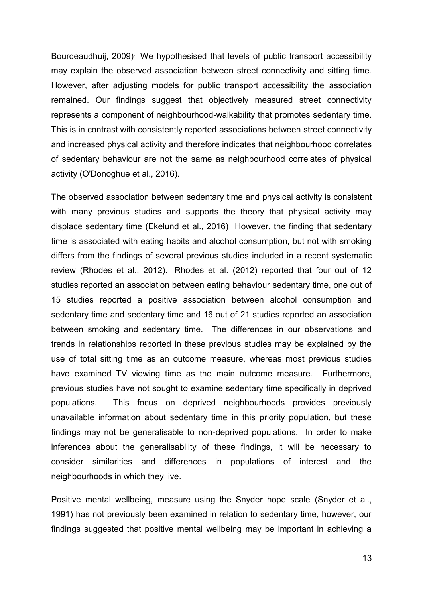Bourdeaudhuij, 2009). We hypothesised that levels of public transport accessibility may explain the observed association between street connectivity and sitting time. However, after adjusting models for public transport accessibility the association remained. Our findings suggest that objectively measured street connectivity represents a component of neighbourhood-walkability that promotes sedentary time. This is in contrast with consistently reported associations between street connectivity and increased physical activity and therefore indicates that neighbourhood correlates of sedentary behaviour are not the same as neighbourhood correlates of physical activity (O'Donoghue et al., 2016).

The observed association between sedentary time and physical activity is consistent with many previous studies and supports the theory that physical activity may displace sedentary time (Ekelund et al., 2016). However, the finding that sedentary time is associated with eating habits and alcohol consumption, but not with smoking differs from the findings of several previous studies included in a recent systematic review (Rhodes et al., 2012). Rhodes et al. (2012) reported that four out of 12 studies reported an association between eating behaviour sedentary time, one out of 15 studies reported a positive association between alcohol consumption and sedentary time and sedentary time and 16 out of 21 studies reported an association between smoking and sedentary time. The differences in our observations and trends in relationships reported in these previous studies may be explained by the use of total sitting time as an outcome measure, whereas most previous studies have examined TV viewing time as the main outcome measure. Furthermore, previous studies have not sought to examine sedentary time specifically in deprived populations. This focus on deprived neighbourhoods provides previously unavailable information about sedentary time in this priority population, but these findings may not be generalisable to non-deprived populations. In order to make inferences about the generalisability of these findings, it will be necessary to consider similarities and differences in populations of interest and the neighbourhoods in which they live.

Positive mental wellbeing, measure using the Snyder hope scale (Snyder et al., 1991) has not previously been examined in relation to sedentary time, however, our findings suggested that positive mental wellbeing may be important in achieving a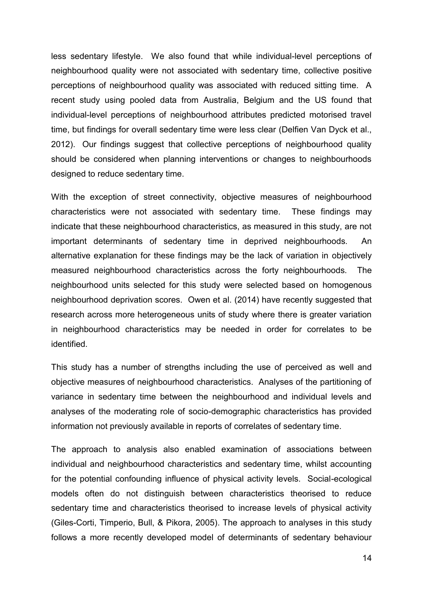less sedentary lifestyle. We also found that while individual-level perceptions of neighbourhood quality were not associated with sedentary time, collective positive perceptions of neighbourhood quality was associated with reduced sitting time. A recent study using pooled data from Australia, Belgium and the US found that individual-level perceptions of neighbourhood attributes predicted motorised travel time, but findings for overall sedentary time were less clear (Delfien Van Dyck et al., 2012). Our findings suggest that collective perceptions of neighbourhood quality should be considered when planning interventions or changes to neighbourhoods designed to reduce sedentary time.

With the exception of street connectivity, objective measures of neighbourhood characteristics were not associated with sedentary time. These findings may indicate that these neighbourhood characteristics, as measured in this study, are not important determinants of sedentary time in deprived neighbourhoods. An alternative explanation for these findings may be the lack of variation in objectively measured neighbourhood characteristics across the forty neighbourhoods. The neighbourhood units selected for this study were selected based on homogenous neighbourhood deprivation scores. Owen et al. (2014) have recently suggested that research across more heterogeneous units of study where there is greater variation in neighbourhood characteristics may be needed in order for correlates to be identified.

This study has a number of strengths including the use of perceived as well and objective measures of neighbourhood characteristics. Analyses of the partitioning of variance in sedentary time between the neighbourhood and individual levels and analyses of the moderating role of socio-demographic characteristics has provided information not previously available in reports of correlates of sedentary time.

The approach to analysis also enabled examination of associations between individual and neighbourhood characteristics and sedentary time, whilst accounting for the potential confounding influence of physical activity levels. Social-ecological models often do not distinguish between characteristics theorised to reduce sedentary time and characteristics theorised to increase levels of physical activity (Giles-Corti, Timperio, Bull, & Pikora, 2005). The approach to analyses in this study follows a more recently developed model of determinants of sedentary behaviour

14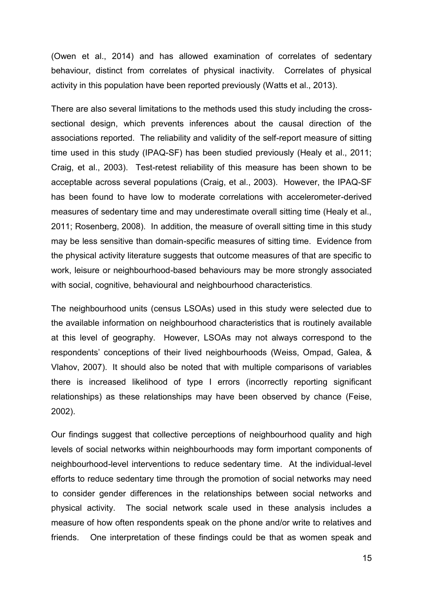(Owen et al., 2014) and has allowed examination of correlates of sedentary behaviour, distinct from correlates of physical inactivity. Correlates of physical activity in this population have been reported previously (Watts et al., 2013).

There are also several limitations to the methods used this study including the crosssectional design, which prevents inferences about the causal direction of the associations reported. The reliability and validity of the self-report measure of sitting time used in this study (IPAQ-SF) has been studied previously (Healy et al., 2011; Craig, et al., 2003). Test-retest reliability of this measure has been shown to be acceptable across several populations (Craig, et al., 2003). However, the IPAQ-SF has been found to have low to moderate correlations with accelerometer-derived measures of sedentary time and may underestimate overall sitting time (Healy et al., 2011; Rosenberg, 2008). In addition, the measure of overall sitting time in this study may be less sensitive than domain-specific measures of sitting time. Evidence from the physical activity literature suggests that outcome measures of that are specific to work, leisure or neighbourhood-based behaviours may be more strongly associated with social, cognitive, behavioural and neighbourhood characteristics.

The neighbourhood units (census LSOAs) used in this study were selected due to the available information on neighbourhood characteristics that is routinely available at this level of geography. However, LSOAs may not always correspond to the respondents' conceptions of their lived neighbourhoods (Weiss, Ompad, Galea, & Vlahov, 2007). It should also be noted that with multiple comparisons of variables there is increased likelihood of type I errors (incorrectly reporting significant relationships) as these relationships may have been observed by chance (Feise, 2002).

Our findings suggest that collective perceptions of neighbourhood quality and high levels of social networks within neighbourhoods may form important components of neighbourhood-level interventions to reduce sedentary time. At the individual-level efforts to reduce sedentary time through the promotion of social networks may need to consider gender differences in the relationships between social networks and physical activity. The social network scale used in these analysis includes a measure of how often respondents speak on the phone and/or write to relatives and friends. One interpretation of these findings could be that as women speak and

15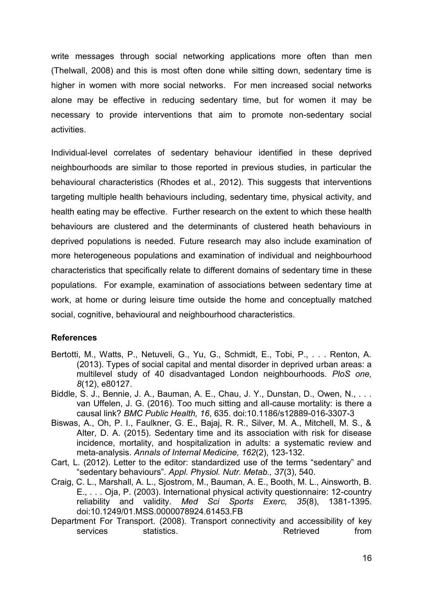write messages through social networking applications more often than men (Thelwall, 2008) and this is most often done while sitting down, sedentary time is higher in women with more social networks. For men increased social networks alone may be effective in reducing sedentary time, but for women it may be necessary to provide interventions that aim to promote non-sedentary social activities.

Individual-level correlates of sedentary behaviour identified in these deprived neighbourhoods are similar to those reported in previous studies, in particular the behavioural characteristics (Rhodes et al., 2012). This suggests that interventions targeting multiple health behaviours including, sedentary time, physical activity, and health eating may be effective. Further research on the extent to which these health behaviours are clustered and the determinants of clustered heath behaviours in deprived populations is needed. Future research may also include examination of more heterogeneous populations and examination of individual and neighbourhood characteristics that specifically relate to different domains of sedentary time in these populations. For example, examination of associations between sedentary time at work, at home or during leisure time outside the home and conceptually matched social, cognitive, behavioural and neighbourhood characteristics.

#### **References**

- Bertotti, M., Watts, P., Netuveli, G., Yu, G., Schmidt, E., Tobi, P., . . . Renton, A. (2013). Types of social capital and mental disorder in deprived urban areas: a multilevel study of 40 disadvantaged London neighbourhoods. *PloS one, 8*(12), e80127.
- Biddle, S. J., Bennie, J. A., Bauman, A. E., Chau, J. Y., Dunstan, D., Owen, N., . . . van Uffelen, J. G. (2016). Too much sitting and all-cause mortality: is there a causal link? *BMC Public Health, 16*, 635. doi:10.1186/s12889-016-3307-3
- Biswas, A., Oh, P. I., Faulkner, G. E., Bajaj, R. R., Silver, M. A., Mitchell, M. S., & Alter, D. A. (2015). Sedentary time and its association with risk for disease incidence, mortality, and hospitalization in adults: a systematic review and meta-analysis. *Annals of Internal Medicine, 162*(2), 123-132.
- Cart, L. (2012). Letter to the editor: standardized use of the terms "sedentary" and "sedentary behaviours". *Appl. Physiol. Nutr. Metab., 37*(3), 540.
- Craig, C. L., Marshall, A. L., Sjostrom, M., Bauman, A. E., Booth, M. L., Ainsworth, B. E., . . . Oja, P. (2003). International physical activity questionnaire: 12-country reliability and validity. *Med Sci Sports Exerc, 35*(8), 1381-1395. doi:10.1249/01.MSS.0000078924.61453.FB
- Department For Transport. (2008). Transport connectivity and accessibility of key services statistics. Services statistics. The services statistics and statistic statistic statistic statistic o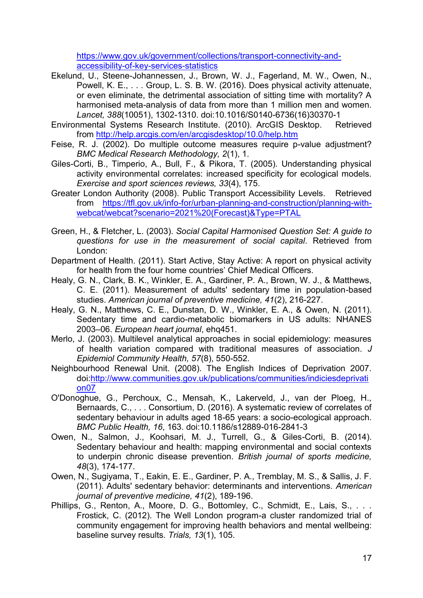[https://www.gov.uk/government/collections/transport-connectivity-and](https://www.gov.uk/government/collections/transport-connectivity-and-accessibility-of-key-services-statistics)[accessibility-of-key-services-statistics](https://www.gov.uk/government/collections/transport-connectivity-and-accessibility-of-key-services-statistics)

- Ekelund, U., Steene-Johannessen, J., Brown, W. J., Fagerland, M. W., Owen, N., Powell, K. E., . . . Group, L. S. B. W. (2016). Does physical activity attenuate, or even eliminate, the detrimental association of sitting time with mortality? A harmonised meta-analysis of data from more than 1 million men and women. *Lancet, 388*(10051), 1302-1310. doi:10.1016/S0140-6736(16)30370-1
- Environmental Systems Research Institute. (2010). ArcGIS Desktop. Retrieved from<http://help.arcgis.com/en/arcgisdesktop/10.0/help.htm>
- Feise, R. J. (2002). Do multiple outcome measures require p-value adjustment? *BMC Medical Research Methodology, 2*(1), 1.
- Giles-Corti, B., Timperio, A., Bull, F., & Pikora, T. (2005). Understanding physical activity environmental correlates: increased specificity for ecological models. *Exercise and sport sciences reviews, 33*(4), 175.
- Greater London Authority (2008). Public Transport Accessibility Levels. Retrieved from [https://tfl.gov.uk/info-for/urban-planning-and-construction/planning-with](https://tfl.gov.uk/info-for/urban-planning-and-construction/planning-with-webcat/webcat?scenario=2021%20(Forecast)&Type=PTAL)[webcat/webcat?scenario=2021%20\(Forecast\)&Type=PTAL](https://tfl.gov.uk/info-for/urban-planning-and-construction/planning-with-webcat/webcat?scenario=2021%20(Forecast)&Type=PTAL)
- Green, H., & Fletcher, L. (2003). *Social Capital Harmonised Question Set: A guide to questions for use in the measurement of social capital*. Retrieved from London:
- Department of Health. (2011). Start Active, Stay Active: A report on physical activity for health from the four home countries' Chief Medical Officers.
- Healy, G. N., Clark, B. K., Winkler, E. A., Gardiner, P. A., Brown, W. J., & Matthews, C. E. (2011). Measurement of adults' sedentary time in population-based studies. *American journal of preventive medicine, 41*(2), 216-227.
- Healy, G. N., Matthews, C. E., Dunstan, D. W., Winkler, E. A., & Owen, N. (2011). Sedentary time and cardio-metabolic biomarkers in US adults: NHANES 2003–06. *European heart journal*, ehq451.
- Merlo, J. (2003). Multilevel analytical approaches in social epidemiology: measures of health variation compared with traditional measures of association. *J Epidemiol Community Health, 57*(8), 550-552.
- Neighbourhood Renewal Unit. (2008). The English Indices of Deprivation 2007. doi[:http://www.communities.gov.uk/publications/communities/indiciesdeprivati](http://www.communities.gov.uk/publications/communities/indiciesdeprivation07) [on07](http://www.communities.gov.uk/publications/communities/indiciesdeprivation07)
- O'Donoghue, G., Perchoux, C., Mensah, K., Lakerveld, J., van der Ploeg, H., Bernaards, C., . . . Consortium, D. (2016). A systematic review of correlates of sedentary behaviour in adults aged 18-65 years: a socio-ecological approach. *BMC Public Health, 16*, 163. doi:10.1186/s12889-016-2841-3
- Owen, N., Salmon, J., Koohsari, M. J., Turrell, G., & Giles-Corti, B. (2014). Sedentary behaviour and health: mapping environmental and social contexts to underpin chronic disease prevention. *British journal of sports medicine, 48*(3), 174-177.
- Owen, N., Sugiyama, T., Eakin, E. E., Gardiner, P. A., Tremblay, M. S., & Sallis, J. F. (2011). Adults' sedentary behavior: determinants and interventions. *American journal of preventive medicine, 41*(2), 189-196.
- Phillips, G., Renton, A., Moore, D. G., Bottomley, C., Schmidt, E., Lais, S., . . . Frostick, C. (2012). The Well London program-a cluster randomized trial of community engagement for improving health behaviors and mental wellbeing: baseline survey results. *Trials, 13*(1), 105.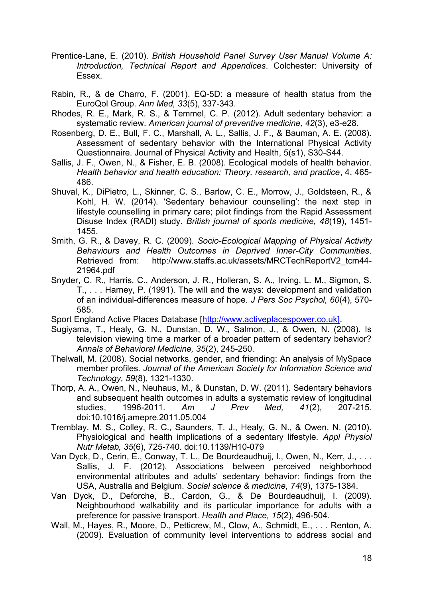- Prentice-Lane, E. (2010). *British Household Panel Survey User Manual Volume A: Introduction, Technical Report and Appendices*. Colchester: University of Essex.
- Rabin, R., & de Charro, F. (2001). EQ-5D: a measure of health status from the EuroQol Group. *Ann Med, 33*(5), 337-343.
- Rhodes, R. E., Mark, R. S., & Temmel, C. P. (2012). Adult sedentary behavior: a systematic review. *American journal of preventive medicine, 42*(3), e3-e28.
- Rosenberg, D. E., Bull, F. C., Marshall, A. L., Sallis, J. F., & Bauman, A. E. (2008). Assessment of sedentary behavior with the International Physical Activity Questionnaire. Journal of Physical Activity and Health, 5(s1), S30-S44.
- Sallis, J. F., Owen, N., & Fisher, E. B. (2008). Ecological models of health behavior. *Health behavior and health education: Theory, research, and practice*, 4, 465- 486.
- Shuval, K., DiPietro, L., Skinner, C. S., Barlow, C. E., Morrow, J., Goldsteen, R., & Kohl, H. W. (2014). 'Sedentary behaviour counselling': the next step in lifestyle counselling in primary care; pilot findings from the Rapid Assessment Disuse Index (RADI) study. *British journal of sports medicine, 48*(19), 1451- 1455.
- Smith, G. R., & Davey, R. C. (2009). *Socio-Ecological Mapping of Physical Activity Behaviours and Health Outcomes in Deprived Inner-City Communities*. Retrieved from: http://www.staffs.ac.uk/assets/MRCTechReportV2\_tcm44-21964.pdf
- Snyder, C. R., Harris, C., Anderson, J. R., Holleran, S. A., Irving, L. M., Sigmon, S. T., . . . Harney, P. (1991). The will and the ways: development and validation of an individual-differences measure of hope. *J Pers Soc Psychol, 60*(4), 570- 585.
- Sport England Active Places Database [\[http://www.activeplacespower.co.uk\].](http://www.activeplacespower.co.uk]/)
- Sugiyama, T., Healy, G. N., Dunstan, D. W., Salmon, J., & Owen, N. (2008). Is television viewing time a marker of a broader pattern of sedentary behavior? *Annals of Behavioral Medicine, 35*(2), 245-250.
- Thelwall, M. (2008). Social networks, gender, and friending: An analysis of MySpace member profiles. *Journal of the American Society for Information Science and Technology, 59*(8), 1321-1330.
- Thorp, A. A., Owen, N., Neuhaus, M., & Dunstan, D. W. (2011). Sedentary behaviors and subsequent health outcomes in adults a systematic review of longitudinal studies, 1996-2011. *Am J Prev Med, 41*(2), 207-215. doi:10.1016/j.amepre.2011.05.004
- Tremblay, M. S., Colley, R. C., Saunders, T. J., Healy, G. N., & Owen, N. (2010). Physiological and health implications of a sedentary lifestyle. *Appl Physiol Nutr Metab, 35*(6), 725-740. doi:10.1139/H10-079
- Van Dyck, D., Cerin, E., Conway, T. L., De Bourdeaudhuij, I., Owen, N., Kerr, J., . . . Sallis, J. F. (2012). Associations between perceived neighborhood environmental attributes and adults' sedentary behavior: findings from the USA, Australia and Belgium. *Social science & medicine, 74*(9), 1375-1384.
- Van Dyck, D., Deforche, B., Cardon, G., & De Bourdeaudhuij, I. (2009). Neighbourhood walkability and its particular importance for adults with a preference for passive transport. *Health and Place, 15*(2), 496-504.
- Wall, M., Hayes, R., Moore, D., Petticrew, M., Clow, A., Schmidt, E., . . . Renton, A. (2009). Evaluation of community level interventions to address social and